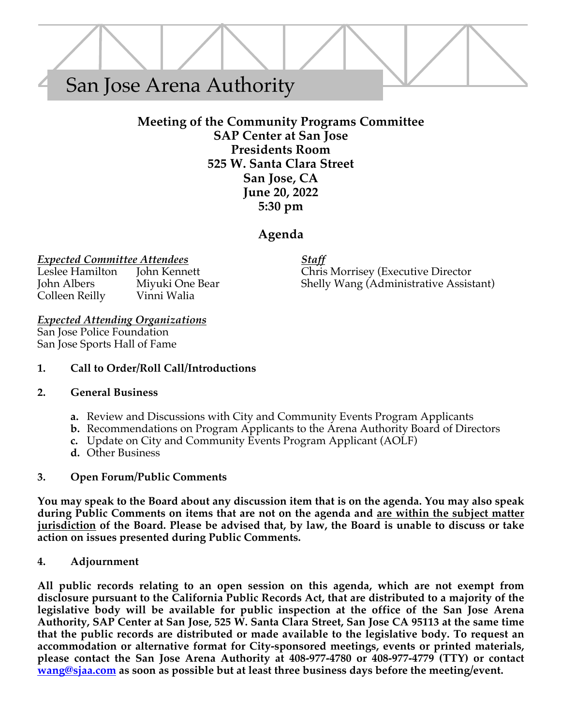## San Jose Arena Authority

## **Meeting of the Community Programs Committee SAP Center at San Jose Presidents Room 525 W. Santa Clara Street San Jose, CA June 20, 2022 5:30 pm**

### **Agenda**

# *Expected Committee Attendees Staff*

Colleen Reilly Vinni Walia

John Kennett Chris Morrisey (Executive Director John Albers Miyuki One Bear Shelly Wang (Administrative Assistant)

#### *Expected Attending Organizations*

San Jose Police Foundation San Jose Sports Hall of Fame

#### **1. Call to Order/Roll Call/Introductions**

#### **2. General Business**

- **a.** Review and Discussions with City and Community Events Program Applicants
- **b.** Recommendations on Program Applicants to the Arena Authority Board of Directors
- **c.** Update on City and Community Events Program Applicant (AOLF)
- **d.** Other Business

#### **3. Open Forum/Public Comments**

**You may speak to the Board about any discussion item that is on the agenda. You may also speak during Public Comments on items that are not on the agenda and are within the subject matter jurisdiction of the Board. Please be advised that, by law, the Board is unable to discuss or take action on issues presented during Public Comments.**

#### **4. Adjournment**

**All public records relating to an open session on this agenda, which are not exempt from disclosure pursuant to the California Public Records Act, that are distributed to a majority of the legislative body will be available for public inspection at the office of the San Jose Arena Authority, SAP Center at San Jose, 525 W. Santa Clara Street, San Jose CA 95113 at the same time that the public records are distributed or made available to the legislative body. To request an accommodation or alternative format for City-sponsored meetings, events or printed materials, please contact the San Jose Arena Authority at 408-977-4780 or 408-977-4779 (TTY) or contact wang@sjaa.com as soon as possible but at least three business days before the meeting/event.**